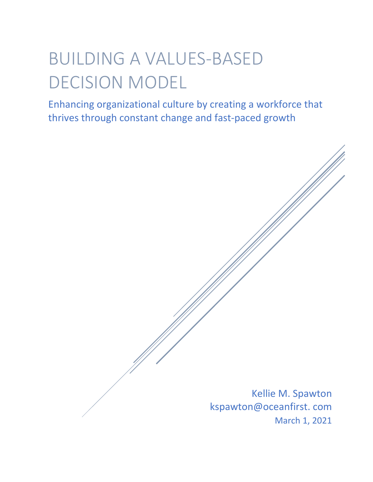# BUILDING A VALUES-BASED DECISION MODEL

Enhancing organizational culture by creating a workforce that thrives through constant change and fast-paced growth

> Kellie M. Spawton kspawton@oceanfirst. com March 1, 2021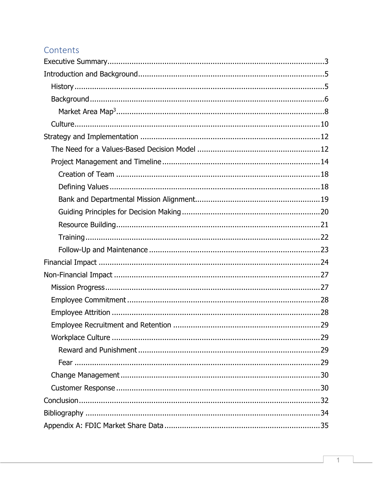## Contents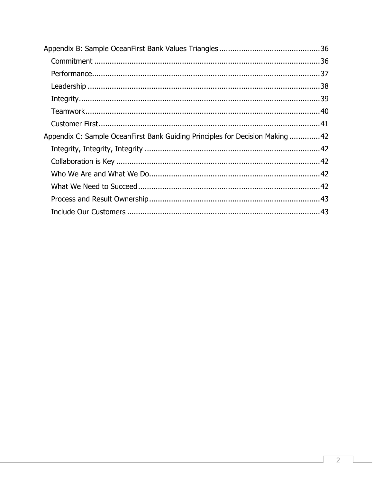| Appendix C: Sample OceanFirst Bank Guiding Principles for Decision Making 42 |  |
|------------------------------------------------------------------------------|--|
|                                                                              |  |
|                                                                              |  |
|                                                                              |  |
|                                                                              |  |
|                                                                              |  |
|                                                                              |  |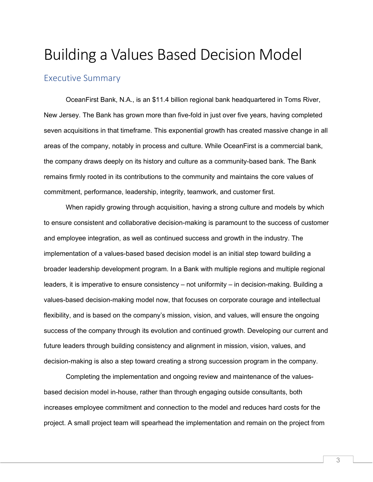## Building a Values Based Decision Model

## <span id="page-3-0"></span>Executive Summary

OceanFirst Bank, N.A., is an \$11.4 billion regional bank headquartered in Toms River, New Jersey. The Bank has grown more than five-fold in just over five years, having completed seven acquisitions in that timeframe. This exponential growth has created massive change in all areas of the company, notably in process and culture. While OceanFirst is a commercial bank, the company draws deeply on its history and culture as a community-based bank. The Bank remains firmly rooted in its contributions to the community and maintains the core values of commitment, performance, leadership, integrity, teamwork, and customer first.

When rapidly growing through acquisition, having a strong culture and models by which to ensure consistent and collaborative decision-making is paramount to the success of customer and employee integration, as well as continued success and growth in the industry. The implementation of a values-based based decision model is an initial step toward building a broader leadership development program. In a Bank with multiple regions and multiple regional leaders, it is imperative to ensure consistency – not uniformity – in decision-making. Building a values-based decision-making model now, that focuses on corporate courage and intellectual flexibility, and is based on the company's mission, vision, and values, will ensure the ongoing success of the company through its evolution and continued growth. Developing our current and future leaders through building consistency and alignment in mission, vision, values, and decision-making is also a step toward creating a strong succession program in the company.

Completing the implementation and ongoing review and maintenance of the valuesbased decision model in-house, rather than through engaging outside consultants, both increases employee commitment and connection to the model and reduces hard costs for the project. A small project team will spearhead the implementation and remain on the project from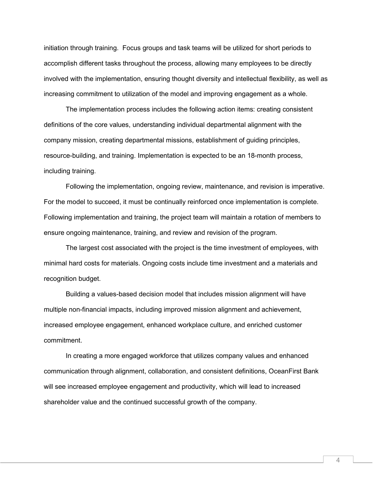initiation through training. Focus groups and task teams will be utilized for short periods to accomplish different tasks throughout the process, allowing many employees to be directly involved with the implementation, ensuring thought diversity and intellectual flexibility, as well as increasing commitment to utilization of the model and improving engagement as a whole.

The implementation process includes the following action items: creating consistent definitions of the core values, understanding individual departmental alignment with the company mission, creating departmental missions, establishment of guiding principles, resource-building, and training. Implementation is expected to be an 18-month process, including training.

Following the implementation, ongoing review, maintenance, and revision is imperative. For the model to succeed, it must be continually reinforced once implementation is complete. Following implementation and training, the project team will maintain a rotation of members to ensure ongoing maintenance, training, and review and revision of the program.

The largest cost associated with the project is the time investment of employees, with minimal hard costs for materials. Ongoing costs include time investment and a materials and recognition budget.

Building a values-based decision model that includes mission alignment will have multiple non-financial impacts, including improved mission alignment and achievement, increased employee engagement, enhanced workplace culture, and enriched customer commitment.

In creating a more engaged workforce that utilizes company values and enhanced communication through alignment, collaboration, and consistent definitions, OceanFirst Bank will see increased employee engagement and productivity, which will lead to increased shareholder value and the continued successful growth of the company.

4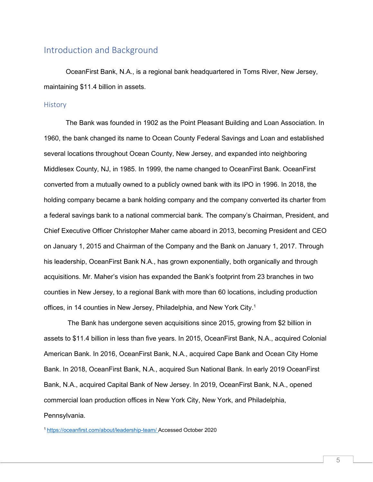## <span id="page-5-0"></span>Introduction and Background

OceanFirst Bank, N.A., is a regional bank headquartered in Toms River, New Jersey, maintaining \$11.4 billion in assets.

#### <span id="page-5-1"></span>**History**

The Bank was founded in 1902 as the Point Pleasant Building and Loan Association. In 1960, the bank changed its name to Ocean County Federal Savings and Loan and established several locations throughout Ocean County, New Jersey, and expanded into neighboring Middlesex County, NJ, in 1985. In 1999, the name changed to OceanFirst Bank. OceanFirst converted from a mutually owned to a publicly owned bank with its IPO in 1996. In 2018, the holding company became a bank holding company and the company converted its charter from a federal savings bank to a national commercial bank. The company's Chairman, President, and Chief Executive Officer Christopher Maher came aboard in 2013, becoming President and CEO on January 1, 2015 and Chairman of the Company and the Bank on January 1, 2017. Through his leadership, OceanFirst Bank N.A., has grown exponentially, both organically and through acquisitions. Mr. Maher's vision has expanded the Bank's footprint from 23 branches in two counties in New Jersey, to a regional Bank with more than 60 locations, including production offices, in 14 counties in New Jersey, Philadelphia, and New York City.<sup>1</sup>

The Bank has undergone seven acquisitions since 2015, growing from \$2 billion in assets to \$11.4 billion in less than five years. In 2015, OceanFirst Bank, N.A., acquired Colonial American Bank. In 2016, OceanFirst Bank, N.A., acquired Cape Bank and Ocean City Home Bank. In 2018, OceanFirst Bank, N.A., acquired Sun National Bank. In early 2019 OceanFirst Bank, N.A., acquired Capital Bank of New Jersey. In 2019, OceanFirst Bank, N.A., opened commercial loan production offices in New York City, New York, and Philadelphia, Pennsylvania.

[1 https://oceanfirst.com/about/leadership-team/](https://oceanfirst.com/about/leadership-team/) Accessed October 2020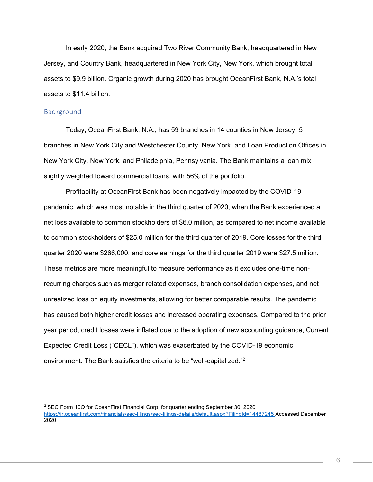In early 2020, the Bank acquired Two River Community Bank, headquartered in New Jersey, and Country Bank, headquartered in New York City, New York, which brought total assets to \$9.9 billion. Organic growth during 2020 has brought OceanFirst Bank, N.A.'s total assets to \$11.4 billion.

#### <span id="page-6-0"></span>**Background**

Today, OceanFirst Bank, N.A., has 59 branches in 14 counties in New Jersey, 5 branches in New York City and Westchester County, New York, and Loan Production Offices in New York City, New York, and Philadelphia, Pennsylvania. The Bank maintains a loan mix slightly weighted toward commercial loans, with 56% of the portfolio.

Profitability at OceanFirst Bank has been negatively impacted by the COVID-19 pandemic, which was most notable in the third quarter of 2020, when the Bank experienced a net loss available to common stockholders of \$6.0 million, as compared to net income available to common stockholders of \$25.0 million for the third quarter of 2019. Core losses for the third quarter 2020 were \$266,000, and core earnings for the third quarter 2019 were \$27.5 million. These metrics are more meaningful to measure performance as it excludes one-time nonrecurring charges such as merger related expenses, branch consolidation expenses, and net unrealized loss on equity investments, allowing for better comparable results. The pandemic has caused both higher credit losses and increased operating expenses. Compared to the prior year period, credit losses were inflated due to the adoption of new accounting guidance, Current Expected Credit Loss ("CECL"), which was exacerbated by the COVID-19 economic environment. The Bank satisfies the criteria to be "well-capitalized."2

 $2$  SEC Form 10Q for OceanFirst Financial Corp, for quarter ending September 30, 2020 <https://ir.oceanfirst.com/financials/sec-filings/sec-filings-details/default.aspx?FilingId=14487245> Accessed December 2020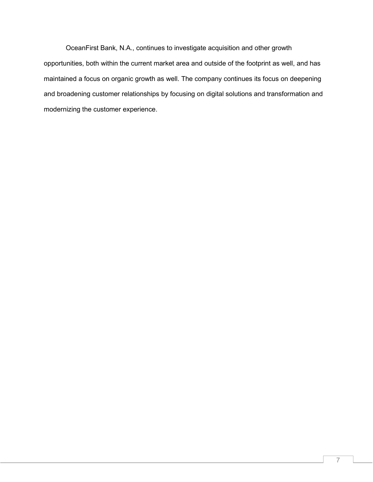OceanFirst Bank, N.A., continues to investigate acquisition and other growth opportunities, both within the current market area and outside of the footprint as well, and has maintained a focus on organic growth as well. The company continues its focus on deepening and broadening customer relationships by focusing on digital solutions and transformation and modernizing the customer experience.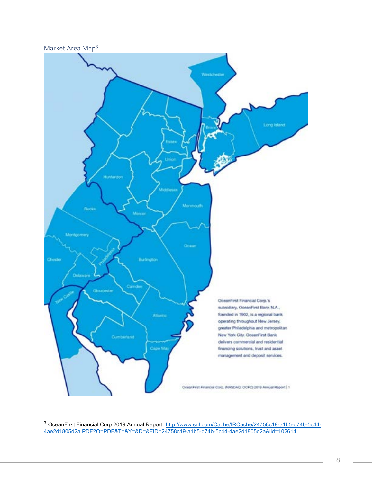<span id="page-8-0"></span>

<sup>3</sup> OceanFirst Financial Corp 2019 Annual Report: <u>[http://www.snl.com/Cache/IRCache/24758c19-a1b5-d74b-5c44-](http://www.snl.com/Cache/IRCache/24758c19-a1b5-d74b-5c44-4ae2d1805d2a.PDF?O=PDF&T=&Y=&D=&FID=24758c19-a1b5-d74b-5c44-4ae2d1805d2a&iid=102614)</u> [4ae2d1805d2a.PDF?O=PDF&T=&Y=&D=&FID=24758c19-a1b5-d74b-5c44-4ae2d1805d2a&iid=102614](http://www.snl.com/Cache/IRCache/24758c19-a1b5-d74b-5c44-4ae2d1805d2a.PDF?O=PDF&T=&Y=&D=&FID=24758c19-a1b5-d74b-5c44-4ae2d1805d2a&iid=102614)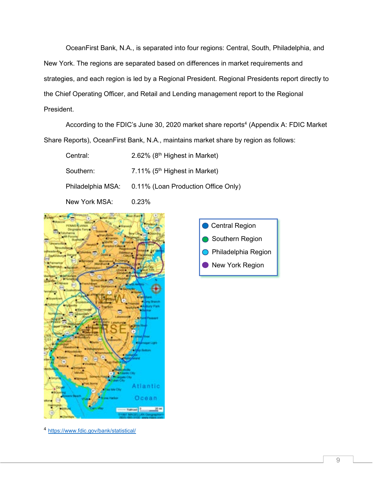OceanFirst Bank, N.A., is separated into four regions: Central, South, Philadelphia, and New York. The regions are separated based on differences in market requirements and strategies, and each region is led by a Regional President. Regional Presidents report directly to the Chief Operating Officer, and Retail and Lending management report to the Regional President.

According to the FDIC's June 30, 2020 market share reports<sup>4</sup> (Appendix A: FDIC Market Share Reports), OceanFirst Bank, N.A., maintains market share by region as follows:

Central: 2.62% (8<sup>th</sup> Highest in Market)

Southern: 7.11% (5<sup>th</sup> Highest in Market)

Philadelphia MSA: 0.11% (Loan Production Office Only)

New York MSA: 0.23%





<sup>4</sup> <https://www.fdic.gov/bank/statistical/>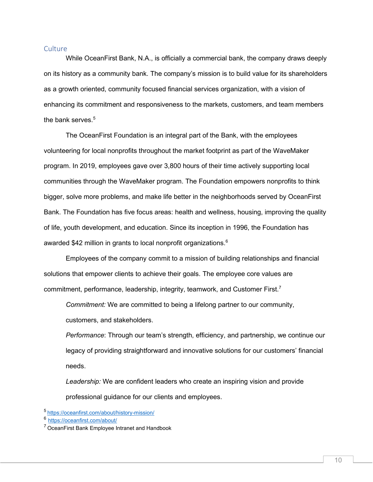#### <span id="page-10-0"></span>Culture

While OceanFirst Bank, N.A., is officially a commercial bank, the company draws deeply on its history as a community bank. The company's mission is to build value for its shareholders as a growth oriented, community focused financial services organization, with a vision of enhancing its commitment and responsiveness to the markets, customers, and team members the bank serves.<sup>5</sup>

The OceanFirst Foundation is an integral part of the Bank, with the employees volunteering for local nonprofits throughout the market footprint as part of the WaveMaker program. In 2019, employees gave over 3,800 hours of their time actively supporting local communities through the WaveMaker program. The Foundation empowers nonprofits to think bigger, solve more problems, and make life better in the neighborhoods served by OceanFirst Bank. The Foundation has five focus areas: health and wellness, housing, improving the quality of life, youth development, and education. Since its inception in 1996, the Foundation has awarded \$42 million in grants to local nonprofit organizations.<sup>6</sup>

Employees of the company commit to a mission of building relationships and financial solutions that empower clients to achieve their goals. The employee core values are commitment, performance, leadership, integrity, teamwork, and Customer First.7

*Commitment:* We are committed to being a lifelong partner to our community,

customers, and stakeholders.

*Performance*: Through our team's strength, efficiency, and partnership, we continue our legacy of providing straightforward and innovative solutions for our customers' financial needs.

*Leadership:* We are confident leaders who create an inspiring vision and provide professional guidance for our clients and employees.

<sup>5</sup><https://oceanfirst.com/about/history-mission/><br>6 https://oceanfirst.com/about/

 $7$  OceanFirst Bank Employee Intranet and Handbook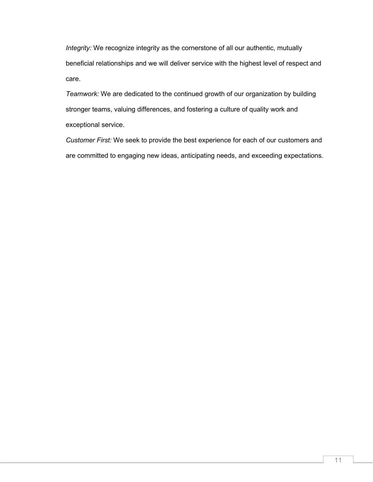*Integrity:* We recognize integrity as the cornerstone of all our authentic, mutually beneficial relationships and we will deliver service with the highest level of respect and care.

*Teamwork:* We are dedicated to the continued growth of our organization by building stronger teams, valuing differences, and fostering a culture of quality work and exceptional service.

*Customer First:* We seek to provide the best experience for each of our customers and are committed to engaging new ideas, anticipating needs, and exceeding expectations.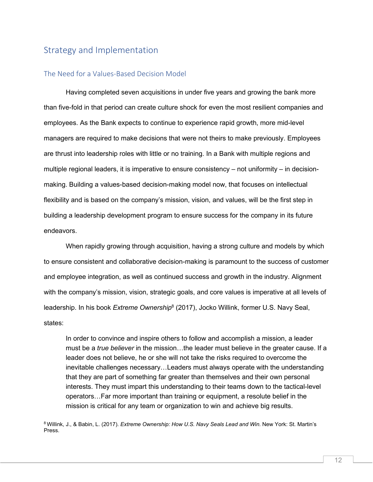## <span id="page-12-0"></span>Strategy and Implementation

#### <span id="page-12-1"></span>The Need for a Values-Based Decision Model

Having completed seven acquisitions in under five years and growing the bank more than five-fold in that period can create culture shock for even the most resilient companies and employees. As the Bank expects to continue to experience rapid growth, more mid-level managers are required to make decisions that were not theirs to make previously. Employees are thrust into leadership roles with little or no training. In a Bank with multiple regions and multiple regional leaders, it is imperative to ensure consistency – not uniformity – in decisionmaking. Building a values-based decision-making model now, that focuses on intellectual flexibility and is based on the company's mission, vision, and values, will be the first step in building a leadership development program to ensure success for the company in its future endeavors.

When rapidly growing through acquisition, having a strong culture and models by which to ensure consistent and collaborative decision-making is paramount to the success of customer and employee integration, as well as continued success and growth in the industry. Alignment with the company's mission, vision, strategic goals, and core values is imperative at all levels of leadership. In his book *Extreme Ownership*<sup>8</sup> (2017), Jocko Willink, former U.S. Navy Seal, states:

In order to convince and inspire others to follow and accomplish a mission, a leader must be a *true believer* in the mission…the leader must believe in the greater cause. If a leader does not believe, he or she will not take the risks required to overcome the inevitable challenges necessary…Leaders must always operate with the understanding that they are part of something far greater than themselves and their own personal interests. They must impart this understanding to their teams down to the tactical-level operators…Far more important than training or equipment, a resolute belief in the mission is critical for any team or organization to win and achieve big results.

8 Willink, J., & Babin, L. (2017). *Extreme Ownership: How U.S. Navy Seals Lead and Win. New York: St. Martin's* Press.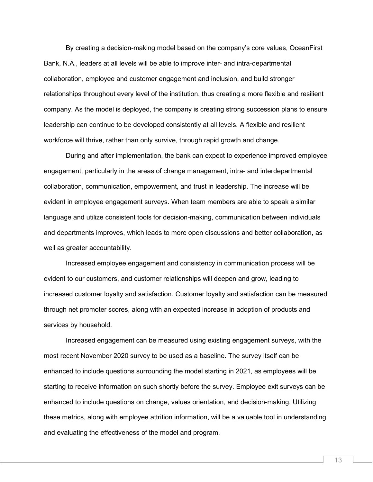By creating a decision-making model based on the company's core values, OceanFirst Bank, N.A., leaders at all levels will be able to improve inter- and intra-departmental collaboration, employee and customer engagement and inclusion, and build stronger relationships throughout every level of the institution, thus creating a more flexible and resilient company. As the model is deployed, the company is creating strong succession plans to ensure leadership can continue to be developed consistently at all levels. A flexible and resilient workforce will thrive, rather than only survive, through rapid growth and change.

During and after implementation, the bank can expect to experience improved employee engagement, particularly in the areas of change management, intra- and interdepartmental collaboration, communication, empowerment, and trust in leadership. The increase will be evident in employee engagement surveys. When team members are able to speak a similar language and utilize consistent tools for decision-making, communication between individuals and departments improves, which leads to more open discussions and better collaboration, as well as greater accountability.

Increased employee engagement and consistency in communication process will be evident to our customers, and customer relationships will deepen and grow, leading to increased customer loyalty and satisfaction. Customer loyalty and satisfaction can be measured through net promoter scores, along with an expected increase in adoption of products and services by household.

Increased engagement can be measured using existing engagement surveys, with the most recent November 2020 survey to be used as a baseline. The survey itself can be enhanced to include questions surrounding the model starting in 2021, as employees will be starting to receive information on such shortly before the survey. Employee exit surveys can be enhanced to include questions on change, values orientation, and decision-making. Utilizing these metrics, along with employee attrition information, will be a valuable tool in understanding and evaluating the effectiveness of the model and program.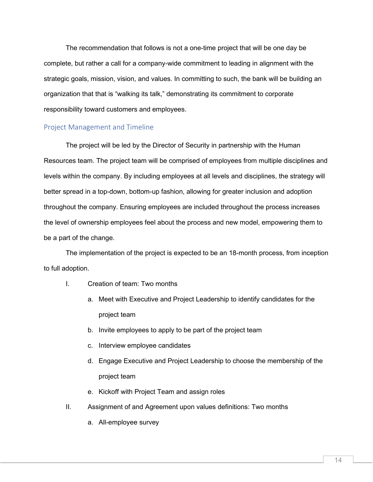The recommendation that follows is not a one-time project that will be one day be complete, but rather a call for a company-wide commitment to leading in alignment with the strategic goals, mission, vision, and values. In committing to such, the bank will be building an organization that that is "walking its talk," demonstrating its commitment to corporate responsibility toward customers and employees.

#### <span id="page-14-0"></span>Project Management and Timeline

The project will be led by the Director of Security in partnership with the Human Resources team. The project team will be comprised of employees from multiple disciplines and levels within the company. By including employees at all levels and disciplines, the strategy will better spread in a top-down, bottom-up fashion, allowing for greater inclusion and adoption throughout the company. Ensuring employees are included throughout the process increases the level of ownership employees feel about the process and new model, empowering them to be a part of the change.

The implementation of the project is expected to be an 18-month process, from inception to full adoption.

- I. Creation of team: Two months
	- a. Meet with Executive and Project Leadership to identify candidates for the project team
	- b. Invite employees to apply to be part of the project team
	- c. Interview employee candidates
	- d. Engage Executive and Project Leadership to choose the membership of the project team
	- e. Kickoff with Project Team and assign roles
- II. Assignment of and Agreement upon values definitions: Two months
	- a. All-employee survey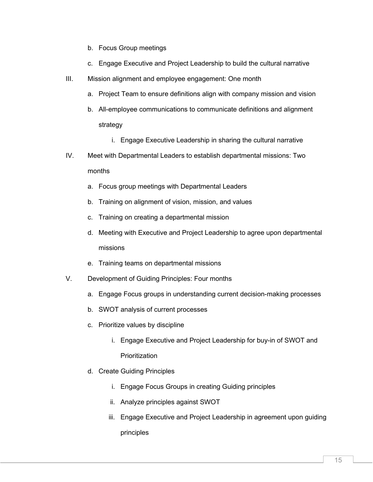- b. Focus Group meetings
- c. Engage Executive and Project Leadership to build the cultural narrative
- III. Mission alignment and employee engagement: One month
	- a. Project Team to ensure definitions align with company mission and vision
	- b. All-employee communications to communicate definitions and alignment strategy
		- i. Engage Executive Leadership in sharing the cultural narrative
- IV. Meet with Departmental Leaders to establish departmental missions: Two months
	- a. Focus group meetings with Departmental Leaders
	- b. Training on alignment of vision, mission, and values
	- c. Training on creating a departmental mission
	- d. Meeting with Executive and Project Leadership to agree upon departmental missions
	- e. Training teams on departmental missions
- V. Development of Guiding Principles: Four months
	- a. Engage Focus groups in understanding current decision-making processes
	- b. SWOT analysis of current processes
	- c. Prioritize values by discipline
		- i. Engage Executive and Project Leadership for buy-in of SWOT and **Prioritization**
	- d. Create Guiding Principles
		- i. Engage Focus Groups in creating Guiding principles
		- ii. Analyze principles against SWOT
		- iii. Engage Executive and Project Leadership in agreement upon guiding principles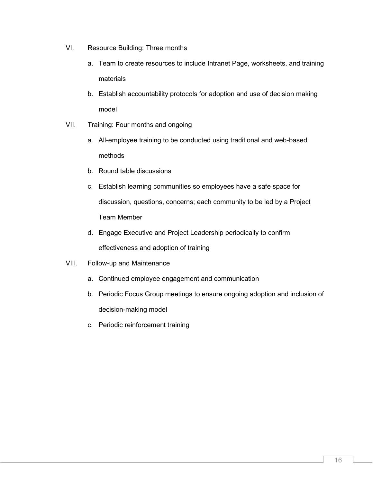- VI. Resource Building: Three months
	- a. Team to create resources to include Intranet Page, worksheets, and training materials
	- b. Establish accountability protocols for adoption and use of decision making model
- VII. Training: Four months and ongoing
	- a. All-employee training to be conducted using traditional and web-based methods
	- b. Round table discussions
	- c. Establish learning communities so employees have a safe space for discussion, questions, concerns; each community to be led by a Project Team Member
	- d. Engage Executive and Project Leadership periodically to confirm effectiveness and adoption of training
- VIII. Follow-up and Maintenance
	- a. Continued employee engagement and communication
	- b. Periodic Focus Group meetings to ensure ongoing adoption and inclusion of decision-making model
	- c. Periodic reinforcement training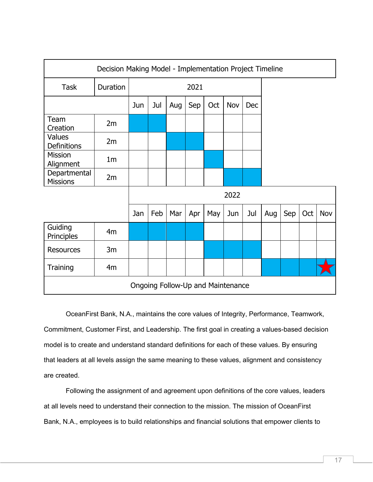| Decision Making Model - Implementation Project Timeline |                |      |     |     |     |     |     |     |     |     |     |     |
|---------------------------------------------------------|----------------|------|-----|-----|-----|-----|-----|-----|-----|-----|-----|-----|
| <b>Task</b>                                             | Duration       | 2021 |     |     |     |     |     |     |     |     |     |     |
|                                                         |                | Jun  | Jul | Aug | Sep | Oct | Nov | Dec |     |     |     |     |
| Team<br>Creation                                        | 2m             |      |     |     |     |     |     |     |     |     |     |     |
| <b>Values</b><br>Definitions                            | 2m             |      |     |     |     |     |     |     |     |     |     |     |
| <b>Mission</b><br>Alignment                             | 1 <sub>m</sub> |      |     |     |     |     |     |     |     |     |     |     |
| Departmental<br><b>Missions</b>                         | 2m             |      |     |     |     |     |     |     |     |     |     |     |
|                                                         |                | 2022 |     |     |     |     |     |     |     |     |     |     |
|                                                         |                | Jan  | Feb | Mar | Apr | May | Jun | Jul | Aug | Sep | Oct | Nov |
| Guiding<br>Principles                                   | 4m             |      |     |     |     |     |     |     |     |     |     |     |
| <b>Resources</b>                                        | 3m             |      |     |     |     |     |     |     |     |     |     |     |
| Training                                                | 4m             |      |     |     |     |     |     |     |     |     |     |     |
| Ongoing Follow-Up and Maintenance                       |                |      |     |     |     |     |     |     |     |     |     |     |

OceanFirst Bank, N.A., maintains the core values of Integrity, Performance, Teamwork, Commitment, Customer First, and Leadership. The first goal in creating a values-based decision model is to create and understand standard definitions for each of these values. By ensuring that leaders at all levels assign the same meaning to these values, alignment and consistency are created.

Following the assignment of and agreement upon definitions of the core values, leaders at all levels need to understand their connection to the mission. The mission of OceanFirst Bank, N.A., employees is to build relationships and financial solutions that empower clients to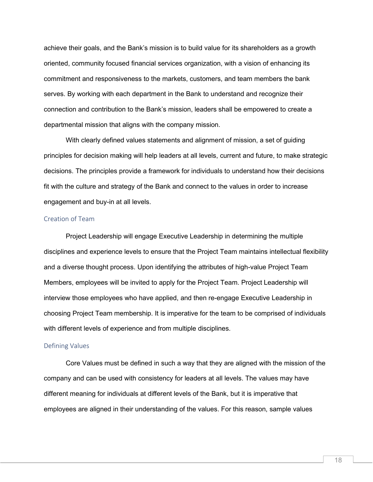achieve their goals, and the Bank's mission is to build value for its shareholders as a growth oriented, community focused financial services organization, with a vision of enhancing its commitment and responsiveness to the markets, customers, and team members the bank serves. By working with each department in the Bank to understand and recognize their connection and contribution to the Bank's mission, leaders shall be empowered to create a departmental mission that aligns with the company mission.

With clearly defined values statements and alignment of mission, a set of guiding principles for decision making will help leaders at all levels, current and future, to make strategic decisions. The principles provide a framework for individuals to understand how their decisions fit with the culture and strategy of the Bank and connect to the values in order to increase engagement and buy-in at all levels.

#### <span id="page-18-0"></span>Creation of Team

Project Leadership will engage Executive Leadership in determining the multiple disciplines and experience levels to ensure that the Project Team maintains intellectual flexibility and a diverse thought process. Upon identifying the attributes of high-value Project Team Members, employees will be invited to apply for the Project Team. Project Leadership will interview those employees who have applied, and then re-engage Executive Leadership in choosing Project Team membership. It is imperative for the team to be comprised of individuals with different levels of experience and from multiple disciplines.

#### <span id="page-18-1"></span>Defining Values

Core Values must be defined in such a way that they are aligned with the mission of the company and can be used with consistency for leaders at all levels. The values may have different meaning for individuals at different levels of the Bank, but it is imperative that employees are aligned in their understanding of the values. For this reason, sample values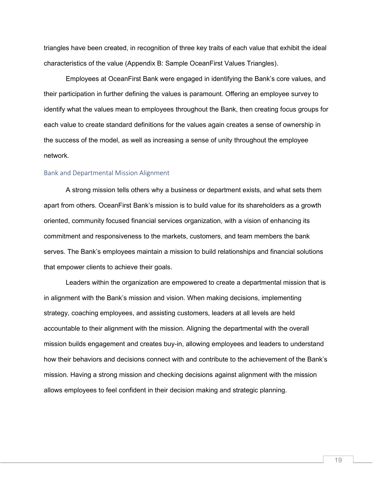triangles have been created, in recognition of three key traits of each value that exhibit the ideal characteristics of the value (Appendix B: Sample OceanFirst Values Triangles).

Employees at OceanFirst Bank were engaged in identifying the Bank's core values, and their participation in further defining the values is paramount. Offering an employee survey to identify what the values mean to employees throughout the Bank, then creating focus groups for each value to create standard definitions for the values again creates a sense of ownership in the success of the model, as well as increasing a sense of unity throughout the employee network.

#### <span id="page-19-0"></span>Bank and Departmental Mission Alignment

A strong mission tells others why a business or department exists, and what sets them apart from others. OceanFirst Bank's mission is to build value for its shareholders as a growth oriented, community focused financial services organization, with a vision of enhancing its commitment and responsiveness to the markets, customers, and team members the bank serves. The Bank's employees maintain a mission to build relationships and financial solutions that empower clients to achieve their goals.

Leaders within the organization are empowered to create a departmental mission that is in alignment with the Bank's mission and vision. When making decisions, implementing strategy, coaching employees, and assisting customers, leaders at all levels are held accountable to their alignment with the mission. Aligning the departmental with the overall mission builds engagement and creates buy-in, allowing employees and leaders to understand how their behaviors and decisions connect with and contribute to the achievement of the Bank's mission. Having a strong mission and checking decisions against alignment with the mission allows employees to feel confident in their decision making and strategic planning.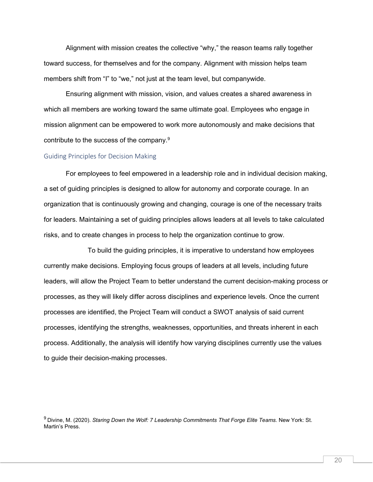Alignment with mission creates the collective "why," the reason teams rally together toward success, for themselves and for the company. Alignment with mission helps team members shift from "I" to "we," not just at the team level, but companywide.

Ensuring alignment with mission, vision, and values creates a shared awareness in which all members are working toward the same ultimate goal. Employees who engage in mission alignment can be empowered to work more autonomously and make decisions that contribute to the success of the company.9

#### <span id="page-20-0"></span>Guiding Principles for Decision Making

For employees to feel empowered in a leadership role and in individual decision making, a set of guiding principles is designed to allow for autonomy and corporate courage. In an organization that is continuously growing and changing, courage is one of the necessary traits for leaders. Maintaining a set of guiding principles allows leaders at all levels to take calculated risks, and to create changes in process to help the organization continue to grow.

To build the guiding principles, it is imperative to understand how employees currently make decisions. Employing focus groups of leaders at all levels, including future leaders, will allow the Project Team to better understand the current decision-making process or processes, as they will likely differ across disciplines and experience levels. Once the current processes are identified, the Project Team will conduct a SWOT analysis of said current processes, identifying the strengths, weaknesses, opportunities, and threats inherent in each process. Additionally, the analysis will identify how varying disciplines currently use the values to guide their decision-making processes.

<sup>9</sup> Divine, M. (2020). *Staring Down the Wolf: 7 Leadership Commitments That Forge Elite Teams.* New York: St. Martin's Press.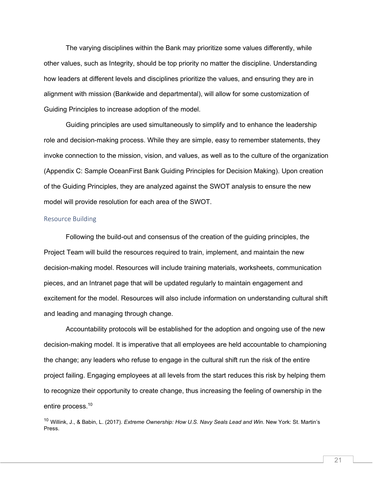The varying disciplines within the Bank may prioritize some values differently, while other values, such as Integrity, should be top priority no matter the discipline. Understanding how leaders at different levels and disciplines prioritize the values, and ensuring they are in alignment with mission (Bankwide and departmental), will allow for some customization of Guiding Principles to increase adoption of the model.

Guiding principles are used simultaneously to simplify and to enhance the leadership role and decision-making process. While they are simple, easy to remember statements, they invoke connection to the mission, vision, and values, as well as to the culture of the organization (Appendix C: Sample OceanFirst Bank Guiding Principles for Decision Making). Upon creation of the Guiding Principles, they are analyzed against the SWOT analysis to ensure the new model will provide resolution for each area of the SWOT.

#### <span id="page-21-0"></span>Resource Building

Following the build-out and consensus of the creation of the guiding principles, the Project Team will build the resources required to train, implement, and maintain the new decision-making model. Resources will include training materials, worksheets, communication pieces, and an Intranet page that will be updated regularly to maintain engagement and excitement for the model. Resources will also include information on understanding cultural shift and leading and managing through change.

Accountability protocols will be established for the adoption and ongoing use of the new decision-making model. It is imperative that all employees are held accountable to championing the change; any leaders who refuse to engage in the cultural shift run the risk of the entire project failing. Engaging employees at all levels from the start reduces this risk by helping them to recognize their opportunity to create change, thus increasing the feeling of ownership in the entire process.<sup>10</sup>

<sup>10</sup> Willink, J., & Babin, L. (2017). *Extreme Ownership: How U.S. Navy Seals Lead and Win.* New York: St. Martin's Press.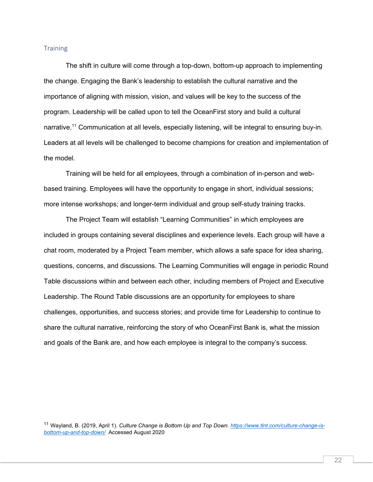#### <span id="page-22-0"></span>**Training**

 The shift in culture will come through a top-down, bottom-up approach to implementing the change. Engaging the Bank's leadership to establish the cultural narrative and the importance of aligning with mission, vision, and values will be key to the success of the program. Leadership will be called upon to tell the OceanFirst story and build a cultural narrative.<sup>11</sup> Communication at all levels, especially listening, will be integral to ensuring buy-in. Leaders at all levels will be challenged to become champions for creation and implementation of the model.

Training will be held for all employees, through a combination of in-person and webbased training. Employees will have the opportunity to engage in short, individual sessions; more intense workshops; and longer-term individual and group self-study training tracks.

The Project Team will establish "Learning Communities" in which employees are included in groups containing several disciplines and experience levels. Each group will have a chat room, moderated by a Project Team member, which allows a safe space for idea sharing, questions, concerns, and discussions. The Learning Communities will engage in periodic Round Table discussions within and between each other, including members of Project and Executive Leadership. The Round Table discussions are an opportunity for employees to share challenges, opportunities, and success stories; and provide time for Leadership to continue to share the cultural narrative, reinforcing the story of who OceanFirst Bank is, what the mission and goals of the Bank are, and how each employee is integral to the company's success.

<sup>11</sup> Wayland, B. (2019, April 1). *Culture Change is Bottom Up and Top Down[. https://www.tlnt.com/culture-change-is](https://www.tlnt.com/culture-change-is-bottom-up-and-top-down/)[bottom-up-and-top-down/](https://www.tlnt.com/culture-change-is-bottom-up-and-top-down/)* Accessed August 2020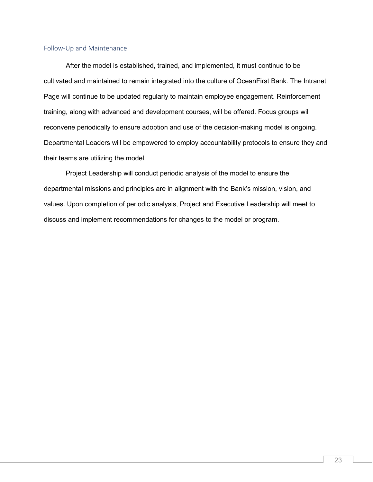#### <span id="page-23-0"></span>Follow-Up and Maintenance

After the model is established, trained, and implemented, it must continue to be cultivated and maintained to remain integrated into the culture of OceanFirst Bank. The Intranet Page will continue to be updated regularly to maintain employee engagement. Reinforcement training, along with advanced and development courses, will be offered. Focus groups will reconvene periodically to ensure adoption and use of the decision-making model is ongoing. Departmental Leaders will be empowered to employ accountability protocols to ensure they and their teams are utilizing the model.

Project Leadership will conduct periodic analysis of the model to ensure the departmental missions and principles are in alignment with the Bank's mission, vision, and values. Upon completion of periodic analysis, Project and Executive Leadership will meet to discuss and implement recommendations for changes to the model or program.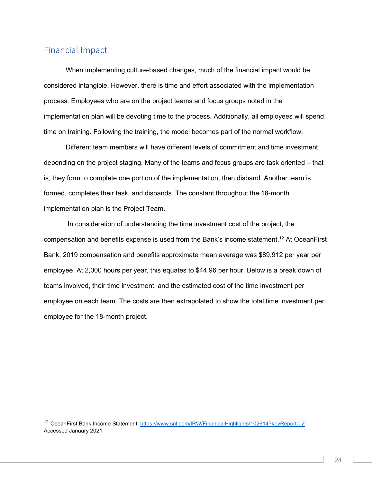## <span id="page-24-0"></span>Financial Impact

When implementing culture-based changes, much of the financial impact would be considered intangible. However, there is time and effort associated with the implementation process. Employees who are on the project teams and focus groups noted in the implementation plan will be devoting time to the process. Additionally, all employees will spend time on training. Following the training, the model becomes part of the normal workflow.

Different team members will have different levels of commitment and time investment depending on the project staging. Many of the teams and focus groups are task oriented – that is, they form to complete one portion of the implementation, then disband. Another team is formed, completes their task, and disbands. The constant throughout the 18-month implementation plan is the Project Team.

In consideration of understanding the time investment cost of the project, the compensation and benefits expense is used from the Bank's income statement.<sup>12</sup> At OceanFirst Bank, 2019 compensation and benefits approximate mean average was \$89,912 per year per employee. At 2,000 hours per year, this equates to \$44.96 per hour. Below is a break down of teams involved, their time investment, and the estimated cost of the time investment per employee on each team. The costs are then extrapolated to show the total time investment per employee for the 18-month project.

<sup>12</sup> OceanFirst Bank Income Statement:<https://www.snl.com/IRW/FinancialHighlights/102614?keyReport=-2> Accessed January 2021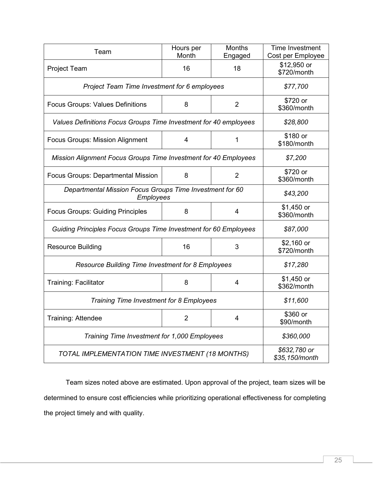| Team                                                                  | Hours per<br>Month             | <b>Months</b><br>Engaged | Time Investment<br>Cost per Employee |  |
|-----------------------------------------------------------------------|--------------------------------|--------------------------|--------------------------------------|--|
| <b>Project Team</b>                                                   | 16                             | 18                       | \$12,950 or<br>\$720/month           |  |
| Project Team Time Investment for 6 employees                          | \$77,700                       |                          |                                      |  |
| <b>Focus Groups: Values Definitions</b>                               | \$720 or<br>\$360/month        |                          |                                      |  |
| Values Definitions Focus Groups Time Investment for 40 employees      |                                |                          | \$28,800                             |  |
| <b>Focus Groups: Mission Alignment</b>                                | \$180 or<br>\$180/month        |                          |                                      |  |
| Mission Alignment Focus Groups Time Investment for 40 Employees       |                                |                          | \$7,200                              |  |
| <b>Focus Groups: Departmental Mission</b>                             | $\overline{2}$                 | \$720 or<br>\$360/month  |                                      |  |
| Departmental Mission Focus Groups Time Investment for 60<br>Employees | \$43,200                       |                          |                                      |  |
| <b>Focus Groups: Guiding Principles</b>                               | $$1,450$ or<br>\$360/month     |                          |                                      |  |
| Guiding Principles Focus Groups Time Investment for 60 Employees      |                                |                          | \$87,000                             |  |
| <b>Resource Building</b>                                              | \$2,160 or<br>\$720/month      |                          |                                      |  |
| <b>Resource Building Time Investment for 8 Employees</b>              | \$17,280                       |                          |                                      |  |
| <b>Training: Facilitator</b>                                          | 8                              | 4                        | $$1,450$ or<br>\$362/month           |  |
| Training Time Investment for 8 Employees                              | \$11,600                       |                          |                                      |  |
| Training: Attendee                                                    | 2                              | 4                        | \$360 or<br>\$90/month               |  |
| Training Time Investment for 1,000 Employees                          | \$360,000                      |                          |                                      |  |
| TOTAL IMPLEMENTATION TIME INVESTMENT (18 MONTHS)                      | \$632,780 or<br>\$35,150/month |                          |                                      |  |

Team sizes noted above are estimated. Upon approval of the project, team sizes will be determined to ensure cost efficiencies while prioritizing operational effectiveness for completing the project timely and with quality.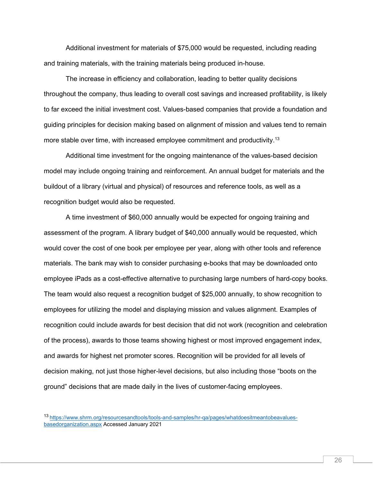Additional investment for materials of \$75,000 would be requested, including reading and training materials, with the training materials being produced in-house.

The increase in efficiency and collaboration, leading to better quality decisions throughout the company, thus leading to overall cost savings and increased profitability, is likely to far exceed the initial investment cost. Values-based companies that provide a foundation and guiding principles for decision making based on alignment of mission and values tend to remain more stable over time, with increased employee commitment and productivity.<sup>13</sup>

Additional time investment for the ongoing maintenance of the values-based decision model may include ongoing training and reinforcement. An annual budget for materials and the buildout of a library (virtual and physical) of resources and reference tools, as well as a recognition budget would also be requested.

A time investment of \$60,000 annually would be expected for ongoing training and assessment of the program. A library budget of \$40,000 annually would be requested, which would cover the cost of one book per employee per year, along with other tools and reference materials. The bank may wish to consider purchasing e-books that may be downloaded onto employee iPads as a cost-effective alternative to purchasing large numbers of hard-copy books. The team would also request a recognition budget of \$25,000 annually, to show recognition to employees for utilizing the model and displaying mission and values alignment. Examples of recognition could include awards for best decision that did not work (recognition and celebration of the process), awards to those teams showing highest or most improved engagement index, and awards for highest net promoter scores. Recognition will be provided for all levels of decision making, not just those higher-level decisions, but also including those "boots on the ground" decisions that are made daily in the lives of customer-facing employees.

<sup>13</sup> [https://www.shrm.org/resourcesandtools/tools-and-samples/hr-qa/pages/whatdoesitmeantobeavalues](https://www.shrm.org/resourcesandtools/tools-and-samples/hr-qa/pages/whatdoesitmeantobeavalues-basedorganization.aspx)[basedorganization.aspx](https://www.shrm.org/resourcesandtools/tools-and-samples/hr-qa/pages/whatdoesitmeantobeavalues-basedorganization.aspx) Accessed January 2021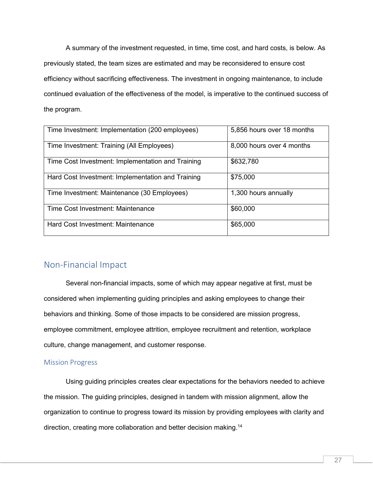A summary of the investment requested, in time, time cost, and hard costs, is below. As previously stated, the team sizes are estimated and may be reconsidered to ensure cost efficiency without sacrificing effectiveness. The investment in ongoing maintenance, to include continued evaluation of the effectiveness of the model, is imperative to the continued success of the program.

| Time Investment: Implementation (200 employees)   | 5,856 hours over 18 months |
|---------------------------------------------------|----------------------------|
| Time Investment: Training (All Employees)         | 8,000 hours over 4 months  |
| Time Cost Investment: Implementation and Training | \$632,780                  |
| Hard Cost Investment: Implementation and Training | \$75,000                   |
| Time Investment: Maintenance (30 Employees)       | 1,300 hours annually       |
| Time Cost Investment: Maintenance                 | \$60,000                   |
| Hard Cost Investment: Maintenance                 | \$65,000                   |

## <span id="page-27-0"></span>Non-Financial Impact

Several non-financial impacts, some of which may appear negative at first, must be considered when implementing guiding principles and asking employees to change their behaviors and thinking. Some of those impacts to be considered are mission progress, employee commitment, employee attrition, employee recruitment and retention, workplace culture, change management, and customer response.

#### <span id="page-27-1"></span>Mission Progress

Using guiding principles creates clear expectations for the behaviors needed to achieve the mission. The guiding principles, designed in tandem with mission alignment, allow the organization to continue to progress toward its mission by providing employees with clarity and direction, creating more collaboration and better decision making.<sup>14</sup>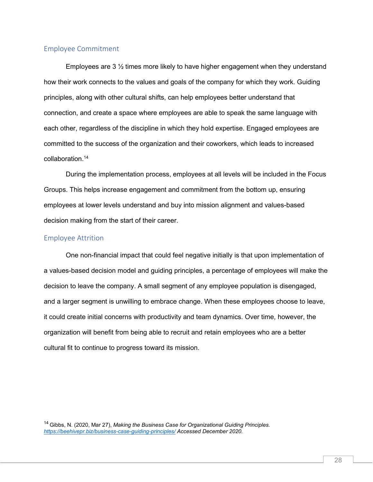#### <span id="page-28-0"></span>Employee Commitment

Employees are 3 ½ times more likely to have higher engagement when they understand how their work connects to the values and goals of the company for which they work. Guiding principles, along with other cultural shifts, can help employees better understand that connection, and create a space where employees are able to speak the same language with each other, regardless of the discipline in which they hold expertise. Engaged employees are committed to the success of the organization and their coworkers, which leads to increased collaboration.14

During the implementation process, employees at all levels will be included in the Focus Groups. This helps increase engagement and commitment from the bottom up, ensuring employees at lower levels understand and buy into mission alignment and values-based decision making from the start of their career.

#### <span id="page-28-1"></span>Employee Attrition

One non-financial impact that could feel negative initially is that upon implementation of a values-based decision model and guiding principles, a percentage of employees will make the decision to leave the company. A small segment of any employee population is disengaged, and a larger segment is unwilling to embrace change. When these employees choose to leave, it could create initial concerns with productivity and team dynamics. Over time, however, the organization will benefit from being able to recruit and retain employees who are a better cultural fit to continue to progress toward its mission.

14 Gibbs, N. (2020, Mar 27), *Making the Business Case for Organizational Guiding Principles. <https://beehivepr.biz/business-case-guiding-principles/> Accessed December 2020.*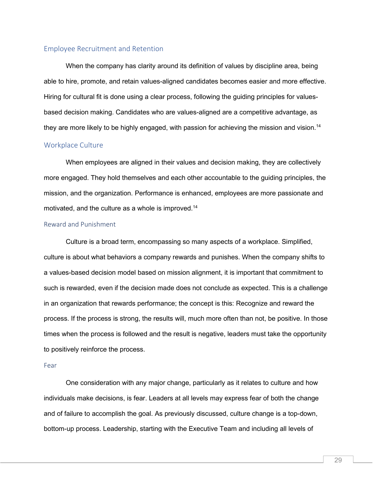#### <span id="page-29-0"></span>Employee Recruitment and Retention

When the company has clarity around its definition of values by discipline area, being able to hire, promote, and retain values-aligned candidates becomes easier and more effective. Hiring for cultural fit is done using a clear process, following the guiding principles for valuesbased decision making. Candidates who are values-aligned are a competitive advantage, as they are more likely to be highly engaged, with passion for achieving the mission and vision.<sup>14</sup>

#### <span id="page-29-1"></span>Workplace Culture

When employees are aligned in their values and decision making, they are collectively more engaged. They hold themselves and each other accountable to the guiding principles, the mission, and the organization. Performance is enhanced, employees are more passionate and motivated, and the culture as a whole is improved.14

#### <span id="page-29-2"></span>Reward and Punishment

Culture is a broad term, encompassing so many aspects of a workplace. Simplified, culture is about what behaviors a company rewards and punishes. When the company shifts to a values-based decision model based on mission alignment, it is important that commitment to such is rewarded, even if the decision made does not conclude as expected. This is a challenge in an organization that rewards performance; the concept is this: Recognize and reward the process. If the process is strong, the results will, much more often than not, be positive. In those times when the process is followed and the result is negative, leaders must take the opportunity to positively reinforce the process.

#### <span id="page-29-3"></span>Fear

One consideration with any major change, particularly as it relates to culture and how individuals make decisions, is fear. Leaders at all levels may express fear of both the change and of failure to accomplish the goal. As previously discussed, culture change is a top-down, bottom-up process. Leadership, starting with the Executive Team and including all levels of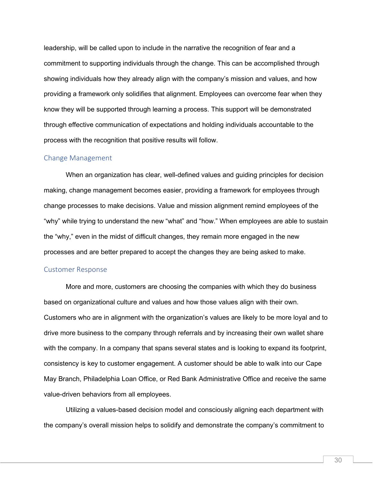leadership, will be called upon to include in the narrative the recognition of fear and a commitment to supporting individuals through the change. This can be accomplished through showing individuals how they already align with the company's mission and values, and how providing a framework only solidifies that alignment. Employees can overcome fear when they know they will be supported through learning a process. This support will be demonstrated through effective communication of expectations and holding individuals accountable to the process with the recognition that positive results will follow.

#### <span id="page-30-0"></span>Change Management

When an organization has clear, well-defined values and guiding principles for decision making, change management becomes easier, providing a framework for employees through change processes to make decisions. Value and mission alignment remind employees of the "why" while trying to understand the new "what" and "how." When employees are able to sustain the "why," even in the midst of difficult changes, they remain more engaged in the new processes and are better prepared to accept the changes they are being asked to make.

#### <span id="page-30-1"></span>Customer Response

More and more, customers are choosing the companies with which they do business based on organizational culture and values and how those values align with their own. Customers who are in alignment with the organization's values are likely to be more loyal and to drive more business to the company through referrals and by increasing their own wallet share with the company. In a company that spans several states and is looking to expand its footprint, consistency is key to customer engagement. A customer should be able to walk into our Cape May Branch, Philadelphia Loan Office, or Red Bank Administrative Office and receive the same value-driven behaviors from all employees.

Utilizing a values-based decision model and consciously aligning each department with the company's overall mission helps to solidify and demonstrate the company's commitment to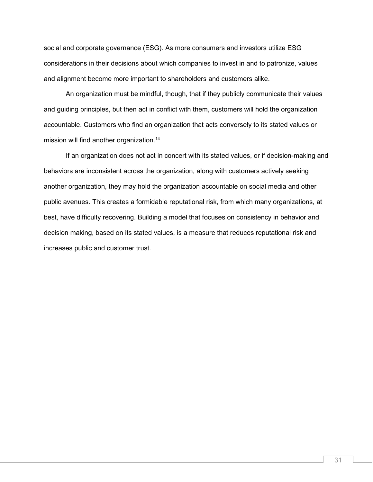social and corporate governance (ESG). As more consumers and investors utilize ESG considerations in their decisions about which companies to invest in and to patronize, values and alignment become more important to shareholders and customers alike.

An organization must be mindful, though, that if they publicly communicate their values and guiding principles, but then act in conflict with them, customers will hold the organization accountable. Customers who find an organization that acts conversely to its stated values or mission will find another organization.<sup>14</sup>

If an organization does not act in concert with its stated values, or if decision-making and behaviors are inconsistent across the organization, along with customers actively seeking another organization, they may hold the organization accountable on social media and other public avenues. This creates a formidable reputational risk, from which many organizations, at best, have difficulty recovering. Building a model that focuses on consistency in behavior and decision making, based on its stated values, is a measure that reduces reputational risk and increases public and customer trust.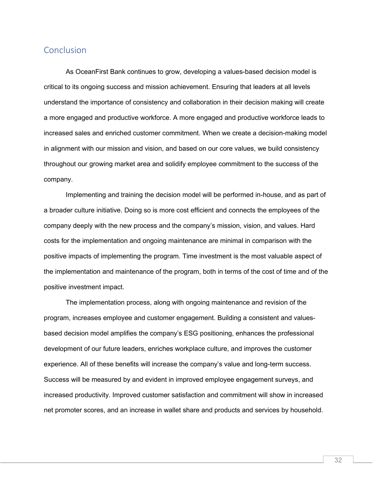## <span id="page-32-0"></span>Conclusion

As OceanFirst Bank continues to grow, developing a values-based decision model is critical to its ongoing success and mission achievement. Ensuring that leaders at all levels understand the importance of consistency and collaboration in their decision making will create a more engaged and productive workforce. A more engaged and productive workforce leads to increased sales and enriched customer commitment. When we create a decision-making model in alignment with our mission and vision, and based on our core values, we build consistency throughout our growing market area and solidify employee commitment to the success of the company.

 Implementing and training the decision model will be performed in-house, and as part of a broader culture initiative. Doing so is more cost efficient and connects the employees of the company deeply with the new process and the company's mission, vision, and values. Hard costs for the implementation and ongoing maintenance are minimal in comparison with the positive impacts of implementing the program. Time investment is the most valuable aspect of the implementation and maintenance of the program, both in terms of the cost of time and of the positive investment impact.

The implementation process, along with ongoing maintenance and revision of the program, increases employee and customer engagement. Building a consistent and valuesbased decision model amplifies the company's ESG positioning, enhances the professional development of our future leaders, enriches workplace culture, and improves the customer experience. All of these benefits will increase the company's value and long-term success. Success will be measured by and evident in improved employee engagement surveys, and increased productivity. Improved customer satisfaction and commitment will show in increased net promoter scores, and an increase in wallet share and products and services by household.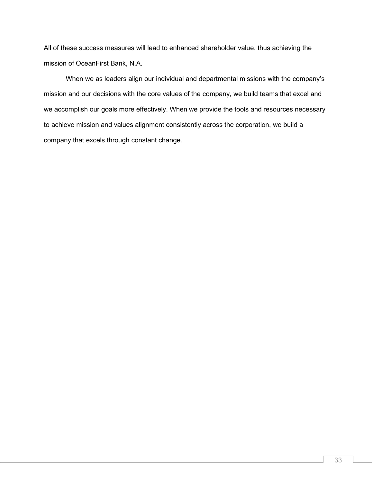All of these success measures will lead to enhanced shareholder value, thus achieving the mission of OceanFirst Bank, N.A.

When we as leaders align our individual and departmental missions with the company's mission and our decisions with the core values of the company, we build teams that excel and we accomplish our goals more effectively. When we provide the tools and resources necessary to achieve mission and values alignment consistently across the corporation, we build a company that excels through constant change.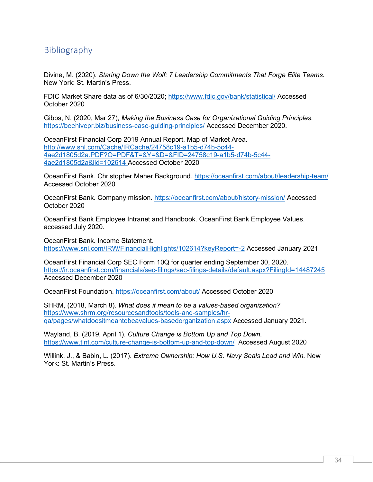## <span id="page-34-0"></span>Bibliography

Divine, M. (2020). *Staring Down the Wolf: 7 Leadership Commitments That Forge Elite Teams.*  New York: St. Martin's Press.

FDIC Market Share data as of 6/30/2020;<https://www.fdic.gov/bank/statistical/> Accessed October 2020

Gibbs, N. (2020, Mar 27), *Making the Business Case for Organizational Guiding Principles.*  <https://beehivepr.biz/business-case-guiding-principles/> Accessed December 2020.

OceanFirst Financial Corp 2019 Annual Report. Map of Market Area. [http://www.snl.com/Cache/IRCache/24758c19-a1b5-d74b-5c44-](http://www.snl.com/Cache/IRCache/24758c19-a1b5-d74b-5c44-4ae2d1805d2a.PDF?O=PDF&T=&Y=&D=&FID=24758c19-a1b5-d74b-5c44-4ae2d1805d2a&iid=102614) [4ae2d1805d2a.PDF?O=PDF&T=&Y=&D=&FID=24758c19-a1b5-d74b-5c44-](http://www.snl.com/Cache/IRCache/24758c19-a1b5-d74b-5c44-4ae2d1805d2a.PDF?O=PDF&T=&Y=&D=&FID=24758c19-a1b5-d74b-5c44-4ae2d1805d2a&iid=102614) [4ae2d1805d2a&iid=102614](http://www.snl.com/Cache/IRCache/24758c19-a1b5-d74b-5c44-4ae2d1805d2a.PDF?O=PDF&T=&Y=&D=&FID=24758c19-a1b5-d74b-5c44-4ae2d1805d2a&iid=102614) Accessed October 2020

OceanFirst Bank. Christopher Maher Background.<https://oceanfirst.com/about/leadership-team/> Accessed October 2020

OceanFirst Bank. Company mission.<https://oceanfirst.com/about/history-mission/> Accessed October 2020

OceanFirst Bank Employee Intranet and Handbook. OceanFirst Bank Employee Values. accessed July 2020.

OceanFirst Bank. Income Statement. <https://www.snl.com/IRW/FinancialHighlights/102614?keyReport=-2> Accessed January 2021

OceanFirst Financial Corp SEC Form 10Q for quarter ending September 30, 2020. <https://ir.oceanfirst.com/financials/sec-filings/sec-filings-details/default.aspx?FilingId=14487245> Accessed December 2020

OceanFirst Foundation.<https://oceanfirst.com/about/> Accessed October 2020

SHRM, (2018, March 8). *What does it mean to be a values-based organization?*  [https://www.shrm.org/resourcesandtools/tools-and-samples/hr](https://www.shrm.org/resourcesandtools/tools-and-samples/hr-qa/pages/whatdoesitmeantobeavalues-basedorganization.aspx%20Accessed%20January%202021)[qa/pages/whatdoesitmeantobeavalues-basedorganization.aspx](https://www.shrm.org/resourcesandtools/tools-and-samples/hr-qa/pages/whatdoesitmeantobeavalues-basedorganization.aspx%20Accessed%20January%202021) Accessed January 2021.

Wayland, B. (2019, April 1). *Culture Change is Bottom Up and Top Down.*  <https://www.tlnt.com/culture-change-is-bottom-up-and-top-down/>Accessed August 2020

Willink, J., & Babin, L. (2017). *Extreme Ownership: How U.S. Navy Seals Lead and Win.* New York: St. Martin's Press.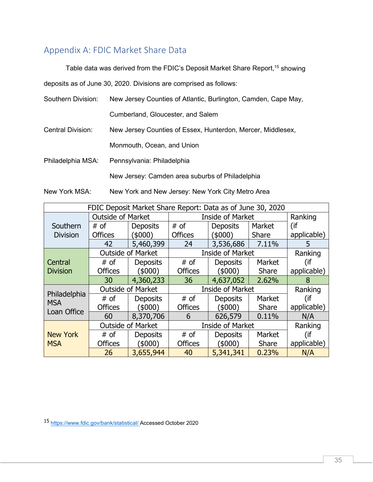## <span id="page-35-0"></span>Appendix A: FDIC Market Share Data

#### Table data was derived from the FDIC's Deposit Market Share Report, <sup>15</sup> showing

deposits as of June 30, 2020. Divisions are comprised as follows:

| Southern Division:       | New Jersey Counties of Atlantic, Burlington, Camden, Cape May, |  |  |  |  |  |
|--------------------------|----------------------------------------------------------------|--|--|--|--|--|
|                          | Cumberland, Gloucester, and Salem                              |  |  |  |  |  |
| <b>Central Division:</b> | New Jersey Counties of Essex, Hunterdon, Mercer, Middlesex,    |  |  |  |  |  |
|                          | Monmouth, Ocean, and Union                                     |  |  |  |  |  |
| Philadelphia MSA:        | Pennsylvania: Philadelphia                                     |  |  |  |  |  |
|                          | New Jersey: Camden area suburbs of Philadelphia                |  |  |  |  |  |

New York MSA: New York and New Jersey: New York City Metro Area

| FDIC Deposit Market Share Report: Data as of June 30, 2020 |                          |                          |                         |                         |              |             |  |  |
|------------------------------------------------------------|--------------------------|--------------------------|-------------------------|-------------------------|--------------|-------------|--|--|
|                                                            | <b>Outside of Market</b> |                          | <b>Inside of Market</b> | Ranking                 |              |             |  |  |
| Southern                                                   | # of                     | <b>Deposits</b>          | $#$ of                  | <b>Deposits</b>         | Market       | (if         |  |  |
| <b>Division</b>                                            | <b>Offices</b>           | (\$000)                  | <b>Offices</b>          | (\$000)                 | Share        | applicable) |  |  |
|                                                            | 42                       | 5,460,399                | 24                      | 3,536,686               | 7.11%        | 5           |  |  |
|                                                            | <b>Outside of Market</b> |                          |                         | <b>Inside of Market</b> |              |             |  |  |
| Central                                                    | $#$ of                   | <b>Deposits</b>          | # of                    | <b>Deposits</b>         | Market       | (if         |  |  |
| <b>Division</b>                                            | <b>Offices</b>           | (\$000)                  | <b>Offices</b>          | $($ \$000)              | Share        | applicable) |  |  |
|                                                            | 30                       | 4,360,233                | 36                      | 4,637,052               | 2.62%        | 8           |  |  |
|                                                            |                          | <b>Outside of Market</b> | <b>Inside of Market</b> | Ranking                 |              |             |  |  |
| Philadelphia<br><b>MSA</b>                                 | $#$ of                   | <b>Deposits</b>          | # of                    | <b>Deposits</b>         | Market       | (if         |  |  |
| Loan Office                                                | <b>Offices</b>           | (5000)                   | <b>Offices</b>          | (5000)                  | <b>Share</b> | applicable) |  |  |
|                                                            | 60                       | 8,370,706                | 6                       | 626,579                 | 0.11%        | N/A         |  |  |
|                                                            |                          | <b>Outside of Market</b> | <b>Inside of Market</b> | Ranking                 |              |             |  |  |
| <b>New York</b>                                            | $#$ of                   | <b>Deposits</b>          | # of                    | Deposits                | Market       | (if         |  |  |
| <b>MSA</b>                                                 | <b>Offices</b>           | (\$000)                  | <b>Offices</b>          | (\$000)                 | <b>Share</b> | applicable) |  |  |
|                                                            | 26                       | 3,655,944                | 40                      | 5,341,341               | 0.23%        | N/A         |  |  |

<sup>15</sup> <https://www.fdic.gov/bank/statistical/> Accessed October 2020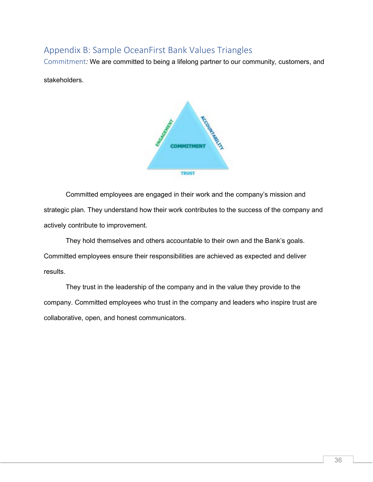## <span id="page-36-0"></span>Appendix B: Sample OceanFirst Bank Values Triangles

<span id="page-36-1"></span>Commitment*:* We are committed to being a lifelong partner to our community, customers, and

stakeholders.



Committed employees are engaged in their work and the company's mission and strategic plan. They understand how their work contributes to the success of the company and actively contribute to improvement.

They hold themselves and others accountable to their own and the Bank's goals. Committed employees ensure their responsibilities are achieved as expected and deliver results.

They trust in the leadership of the company and in the value they provide to the company. Committed employees who trust in the company and leaders who inspire trust are collaborative, open, and honest communicators.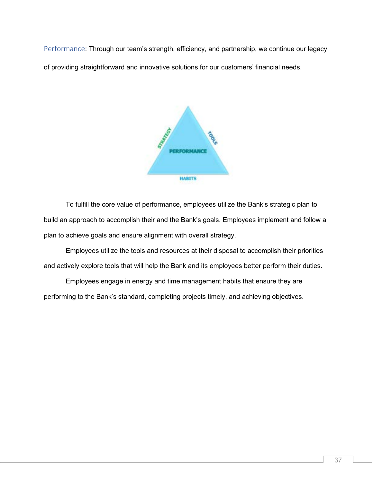<span id="page-37-0"></span>Performance: Through our team's strength, efficiency, and partnership, we continue our legacy of providing straightforward and innovative solutions for our customers' financial needs.



To fulfill the core value of performance, employees utilize the Bank's strategic plan to build an approach to accomplish their and the Bank's goals. Employees implement and follow a plan to achieve goals and ensure alignment with overall strategy.

Employees utilize the tools and resources at their disposal to accomplish their priorities and actively explore tools that will help the Bank and its employees better perform their duties.

Employees engage in energy and time management habits that ensure they are performing to the Bank's standard, completing projects timely, and achieving objectives.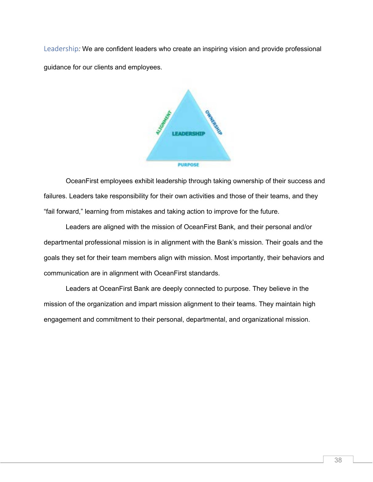<span id="page-38-0"></span>Leadership*:* We are confident leaders who create an inspiring vision and provide professional guidance for our clients and employees.



OceanFirst employees exhibit leadership through taking ownership of their success and failures. Leaders take responsibility for their own activities and those of their teams, and they "fail forward," learning from mistakes and taking action to improve for the future.

Leaders are aligned with the mission of OceanFirst Bank, and their personal and/or departmental professional mission is in alignment with the Bank's mission. Their goals and the goals they set for their team members align with mission. Most importantly, their behaviors and communication are in alignment with OceanFirst standards.

Leaders at OceanFirst Bank are deeply connected to purpose. They believe in the mission of the organization and impart mission alignment to their teams. They maintain high engagement and commitment to their personal, departmental, and organizational mission.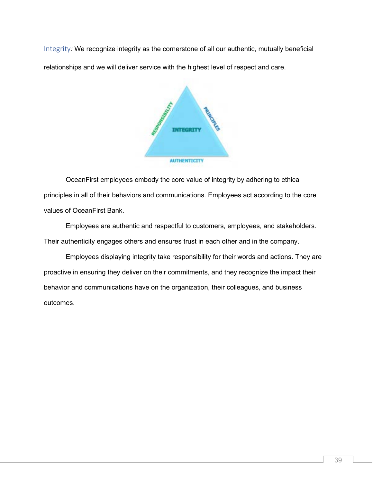<span id="page-39-0"></span>Integrity*:* We recognize integrity as the cornerstone of all our authentic, mutually beneficial relationships and we will deliver service with the highest level of respect and care.



OceanFirst employees embody the core value of integrity by adhering to ethical principles in all of their behaviors and communications. Employees act according to the core values of OceanFirst Bank.

Employees are authentic and respectful to customers, employees, and stakeholders. Their authenticity engages others and ensures trust in each other and in the company.

Employees displaying integrity take responsibility for their words and actions. They are proactive in ensuring they deliver on their commitments, and they recognize the impact their behavior and communications have on the organization, their colleagues, and business outcomes.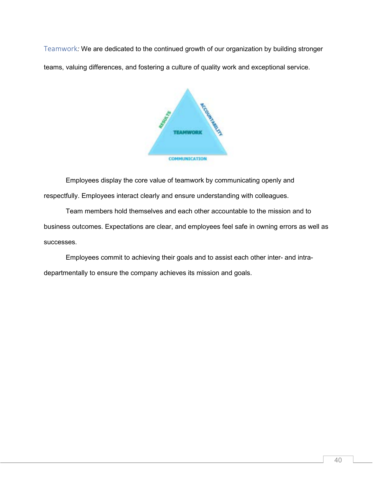<span id="page-40-0"></span>Teamwork*:* We are dedicated to the continued growth of our organization by building stronger teams, valuing differences, and fostering a culture of quality work and exceptional service.



Employees display the core value of teamwork by communicating openly and respectfully. Employees interact clearly and ensure understanding with colleagues.

Team members hold themselves and each other accountable to the mission and to business outcomes. Expectations are clear, and employees feel safe in owning errors as well as successes.

Employees commit to achieving their goals and to assist each other inter- and intradepartmentally to ensure the company achieves its mission and goals.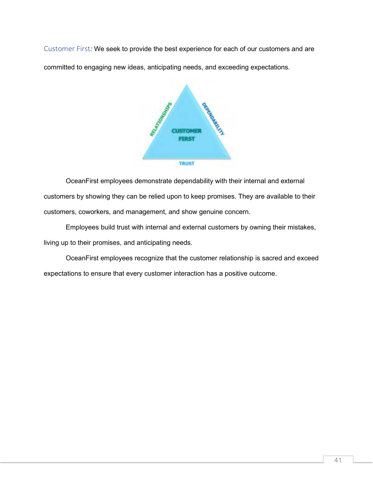<span id="page-41-0"></span>Customer First*:* We seek to provide the best experience for each of our customers and are committed to engaging new ideas, anticipating needs, and exceeding expectations.



OceanFirst employees demonstrate dependability with their internal and external customers by showing they can be relied upon to keep promises. They are available to their customers, coworkers, and management, and show genuine concern.

Employees build trust with internal and external customers by owning their mistakes, living up to their promises, and anticipating needs.

OceanFirst employees recognize that the customer relationship is sacred and exceed expectations to ensure that every customer interaction has a positive outcome.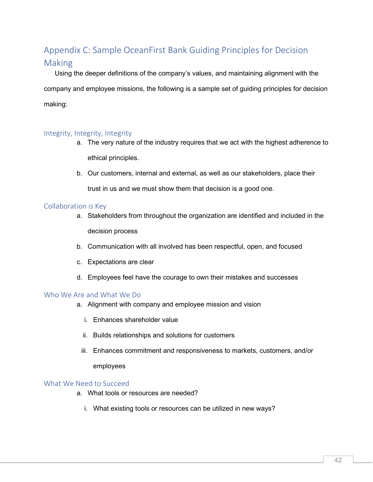## <span id="page-42-0"></span>Appendix C: Sample OceanFirst Bank Guiding Principles for Decision Making

Using the deeper definitions of the company's values, and maintaining alignment with the company and employee missions, the following is a sample set of guiding principles for decision making:

#### <span id="page-42-1"></span>Integrity, Integrity, Integrity

- a. The very nature of the industry requires that we act with the highest adherence to ethical principles.
- b. Our customers, internal and external, as well as our stakeholders, place their trust in us and we must show them that decision is a good one.

#### <span id="page-42-2"></span>Collaboration is Key

- a. Stakeholders from throughout the organization are identified and included in the decision process
- b. Communication with all involved has been respectful, open, and focused
- c. Expectations are clear
- d. Employees feel have the courage to own their mistakes and successes

#### <span id="page-42-3"></span>Who We Are and What We Do

- a. Alignment with company and employee mission and vision
	- i. Enhances shareholder value
	- ii. Builds relationships and solutions for customers
	- iii. Enhances commitment and responsiveness to markets, customers, and/or

#### employees

#### <span id="page-42-4"></span>What We Need to Succeed

- a. What tools or resources are needed?
	- i. What existing tools or resources can be utilized in new ways?